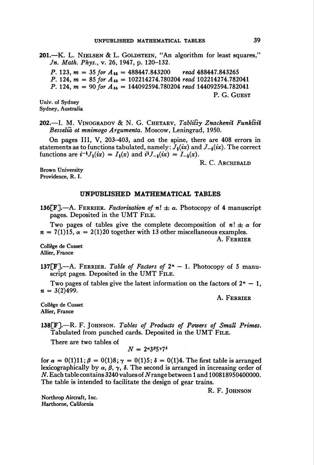201.—K. L. NIELSEN & L. GOLDSTEIN, "An algorithm for least squares," Jn. Math. Phys., v. 26, 1947, p. 120-132. P. 123,  $m = 35$  for  $A_{55} = 488447.843200$  read  $488447.843265$ P. 124,  $m = 85$  for  $A_{55} = 102214274.780204$  read 102214274.782041 P. 124,  $m = 90$  for  $A_{55} = 144092594.780204$  read 144092594.782041 P. G. Guest

Univ. of Sydney Sydney, Australia

202.—I. M. VINOGRADOV & N. G. CHETAEV, Tablifsy Znachenii Funktsii Besselià ot mnimogo Argumenta. Moscow, Leningrad, 1950.

On pages III, V, 203-403, and on the spine, there are 408 errors in statements as to functions tabulated, namely:  $J_{\frac{1}{2}}(ix)$  and  $J_{-\frac{1}{2}}(ix)$ . The correct functions are  $i^{-\frac{1}{2}}J_1(ix) = I_1(x)$  and  $i^{\frac{1}{2}}J_{-\frac{1}{2}}(ix) = I_{-\frac{1}{2}}(x)$ .

R. C. Archibald

Brown University Providence, R. I.

## UNPUBLISHED MATHEMATICAL TABLES

136[F].—A. FERRIER. Factorization of  $n! \pm \alpha$ . Photocopy of 4 manuscript pages. Deposited in the UMT File.

Two pages of tables give the complete decomposition of  $n! \pm \alpha$  for  $n = 7(1)15$ ,  $\alpha = 2(1)20$  together with 13 other miscellaneous examples.

A. Ferrier

Collège de Cusset Allier, France

137[F].—A. FERRIER. Table of Factors of  $2<sup>n</sup> - 1$ . Photocopy of 5 manuscript pages. Deposited in the UMT FILE.

Two pages of tables give the latest information on the factors of  $2<sup>n</sup> - 1$ ,  $n = 3(2)499$ .

A. Ferrier

Collège de Cusset Allier, France

138[F].-R. F. JOHNSON. Tables of Products of Powers of Small Primes. Tabulated from punched cards. Deposited in the UMT File.

There are two tables of

$$
N=2^{\alpha}3^{\beta}5^{\gamma}7^{\delta}
$$

for  $\alpha = 0(1)11$ ;  $\beta = 0(1)8$ ;  $\gamma = 0(1)5$ ;  $\delta = 0(1)4$ . The first table is arranged lexicographically by  $\alpha$ ,  $\beta$ ,  $\gamma$ ,  $\delta$ . The second is arranged in increasing order of  $N.$  Each table contains 3240 values of  $N$  range between 1 and 100818950400000. The table is intended to facilitate the design of gear trains.

R. F. JOHNSON

Northrop Aircraft, Inc. Harthorne, California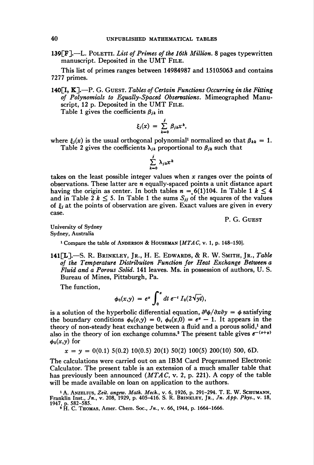139 $[F]$ . POLETTI. List of Primes of the 16th Million. 8 pages typewritten manuscript. Deposited in the UMT File.

This list of primes ranges between 14984987 and 15105063 and contains 7277 primes.

140 $[I, K]$ .—P. G. Guest. Tables of Certain Functions Occurring in the Fitting of Polynomials to Equally-Spaced Observations. Mimeographed Manuscript, 12 p. Deposited in the UMT FILE.

Table 1 gives the coefficients  $\beta_{ik}$  in

$$
\xi_j(x) = \sum_{k=0}^j \beta_{jk} x^k,
$$

where  $\xi_i(x)$  is the usual orthogonal polynomial<sup>1</sup> normalized so that  $\beta_{kk} = 1$ . Table 2 gives the coefficients  $\lambda_{jk}$  proportional to  $\beta_{jk}$  such that

$$
\sum_{k=0}^j \lambda_{jk} x^k
$$

takes on the least possible integer values when x ranges over the points of observations. These latter are  $n$  equally-spaced points a unit distance apart having the origin as center. In both tables  $n = 6(1)104$ . In Table 1  $k \leq 4$ and in Table 2  $k \le 5$ . In Table 1 the sums  $S_{jj}$  of the squares of the values of  $\xi_i$  at the points of observation are given. Exact values are given in every case.

P. G. Guest

University of Sydney Sydney, Australia

1 Compare the table of Anderson & Houseman [MTAC, v. 1, p. 148-150].

141[L].—S. R. Brinkley, Jr., H. E. Edwards, & R. W. Smith, Jr., Table of the Temperature Distribuiton Function for Heat Exchange Between a Fluid and a Porous Solid. 141 leaves. Ms. in possession of authors, U. S. Bureau of Mines, Pittsburgh, Pa.

The function,

$$
\phi_0(x,y) = e^x \int_0^x dt \, e^{-t} I_0(2\sqrt{yt}),
$$

is a solution of the hyperbolic differential equation,  $\frac{\partial^2 \phi}{\partial x \partial y} = \phi$  satisfying the boundary conditions  $\phi_0(0, y) = 0$ ,  $\phi_0(x, 0) = e^x - 1$ . It appears in the theory of non-steady heat exchange between a fluid and a porous solid,<sup>1</sup> and also in the theory of ion exchange columns.<sup>2</sup> The present table gives  $e^{-(x+y)}$  $\phi_0(x,y)$  for

$$
x = y = 0(0.1) 5(0.2) 10(0.5) 20(1) 50(2) 100(5) 200(10) 500, 6D.
$$

The calculations were carried out on an IBM Card Programmed Electronic Calculator. The present table is an extension of a much smaller table that has previously been announced (MTAC, v. 2, p. 221). A copy of the table will be made available on loan on application to the authors.

<sup>1</sup> A. Anzelius, Zeit. angew. Math. Mech., v. 6, 1926, p. 291–294. T. E. W. SCHUMANN,<br>Franklin Inst., Jn., v. 208, 1929, p. 405–416. S. R. BRINKLEY, JR., Jn. App. Phys., v. 18, 1947, p. 582–585.<br>
<sup>2</sup> H. C. Tномаs, Amer. Chem. Soc., *Jn.*, v. 66, 1944, p. 1664–1666.